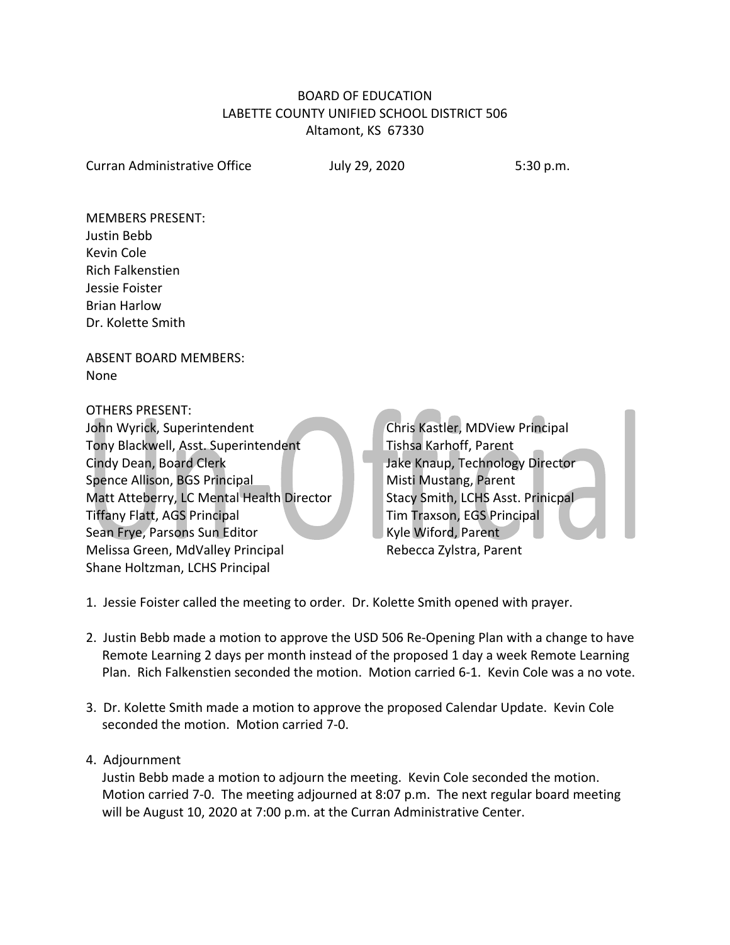## BOARD OF EDUCATION LABETTE COUNTY UNIFIED SCHOOL DISTRICT 506 Altamont, KS 67330

Curran Administrative Office July 29, 2020 5:30 p.m.

MEMBERS PRESENT: Justin Bebb Kevin Cole Rich Falkenstien Jessie Foister Brian Harlow Dr. Kolette Smith

ABSENT BOARD MEMBERS: None

OTHERS PRESENT:

John Wyrick, Superintendent Chris Kastler, MDView Principal Tony Blackwell, Asst. Superintendent Tishsa Karhoff, Parent Cindy Dean, Board Clerk Jake Knaup, Technology Director Spence Allison, BGS Principal Misti Mustang, Parent Matt Atteberry, LC Mental Health Director Stacy Smith, LCHS Asst. Prinicpal Tiffany Flatt, AGS Principal Tim Traxson, EGS Principal Sean Frye, Parsons Sun Editor Kyle Wiford, Parent Melissa Green, MdValley Principal Rebecca Zylstra, Parent Shane Holtzman, LCHS Principal

1. Jessie Foister called the meeting to order. Dr. Kolette Smith opened with prayer.

- 2. Justin Bebb made a motion to approve the USD 506 Re-Opening Plan with a change to have Remote Learning 2 days per month instead of the proposed 1 day a week Remote Learning Plan. Rich Falkenstien seconded the motion. Motion carried 6-1. Kevin Cole was a no vote.
- 3. Dr. Kolette Smith made a motion to approve the proposed Calendar Update. Kevin Cole seconded the motion. Motion carried 7-0.
- 4. Adjournment

 Justin Bebb made a motion to adjourn the meeting. Kevin Cole seconded the motion. Motion carried 7-0. The meeting adjourned at 8:07 p.m. The next regular board meeting will be August 10, 2020 at 7:00 p.m. at the Curran Administrative Center.